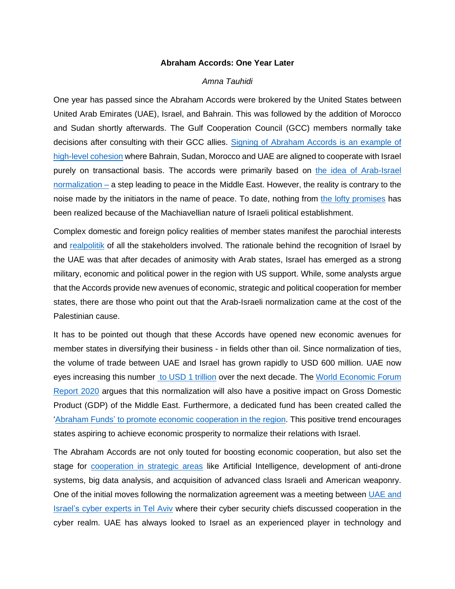## **Abraham Accords: One Year Later**

## *Amna Tauhidi*

One year has passed since the Abraham Accords were brokered by the United States between United Arab Emirates (UAE), Israel, and Bahrain. This was followed by the addition of Morocco and Sudan shortly afterwards. The Gulf Cooperation Council (GCC) members normally take decisions after consulting with their GCC allies. [Signing of Abraham Accords is an example of](https://www.rand.org/content/dam/rand/pubs/research_reports/RR1400/RR1429/RAND_RR1429.pdf)  [high-level](https://www.rand.org/content/dam/rand/pubs/research_reports/RR1400/RR1429/RAND_RR1429.pdf) cohesion where Bahrain, Sudan, Morocco and UAE are aligned to cooperate with Israel purely on transactional basis. The accords were primarily based on [the idea of Arab-Israel](https://www.state.gov/the-abraham-accords/) [normalization –](https://www.state.gov/the-abraham-accords/) a step leading to peace in the Middle East. However, the reality is contrary to the noise made by the initiators in the name of peace. To date, nothing from [the lofty promises](https://www.brookings.edu/research/the-emergence-of-gcc-israel-relations-in-a-changing-middle-east/) has been realized because of the Machiavellian nature of Israeli political establishment.

Complex domestic and foreign policy realities of member states manifest the parochial interests and [realpolitik](https://www.marshallcenter.org/en/publications/security-insights/abraham-accords-paradigm-shift-or-realpolitik) of all the stakeholders involved. The rationale behind the recognition of Israel by the UAE was that after decades of animosity with Arab states, Israel has emerged as a strong military, economic and political power in the region with US support. While, some analysts argue that the Accords provide new avenues of economic, strategic and political cooperation for member states, there are those who point out that the Arab-Israeli normalization came at the cost of the Palestinian cause.

It has to be pointed out though that these Accords have opened new economic avenues for member states in diversifying their business - in fields other than oil. Since normalization of ties, the volume of trade between UAE and Israel has grown rapidly to USD 600 million. UAE now eyes increasing this number to [USD 1 trillion](https://www.reuters.com/world/middle-east/uae-aims-1-trillion-activity-with-israel-by-2031-2021-09-14/) over the next decade. The [World Economic Forum](https://trendsresearch.org/research/the-abraham-accords-politico-economic-drivers-and-opportunities/)  [Report 2020](https://trendsresearch.org/research/the-abraham-accords-politico-economic-drivers-and-opportunities/) argues that this normalization will also have a positive impact on Gross Domestic Product (GDP) of the Middle East. Furthermore, a dedicated fund has been created called the 'Abraham Funds' [to promote economic cooperation in the region.](https://www.rand.org/content/dam/rand/pubs/perspectives/PEA1100/PEA1149-1/RAND_PEA1149-1.pdf) This positive trend encourages states aspiring to achieve economic prosperity to normalize their relations with Israel.

The Abraham Accords are not only touted for boosting economic cooperation, but also set the stage for [cooperation in strategic areas](https://www.washingtonpost.com/business/why-uae-struck-a-deal-with-israel-and-why-it-matters/2020/08/19/0da78b54-e1d4-11ea-82d8-5e55d47e90ca_story.html) like Artificial Intelligence, development of anti-drone systems, big data analysis, and acquisition of advanced class Israeli and American weaponry. One of the initial moves following the normalization agreement was a meeting between [UAE and](https://www.reuters.com/article/us-israel-gulf-emirates-cyber-idUKKCN26F2UK)  Israel's [cyber experts](https://www.reuters.com/article/us-israel-gulf-emirates-cyber-idUKKCN26F2UK) in Tel Aviv where their cyber security chiefs discussed cooperation in the cyber realm. UAE has always looked to Israel as an experienced player in technology and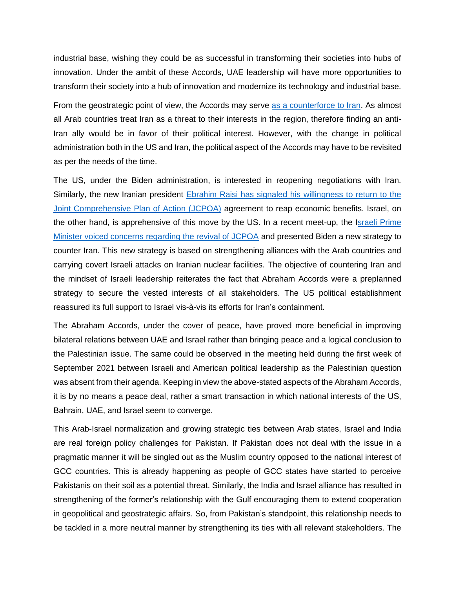industrial base, wishing they could be as successful in transforming their societies into hubs of innovation. Under the ambit of these Accords, UAE leadership will have more opportunities to transform their society into a hub of innovation and modernize its technology and industrial base.

From the geostrategic point of view, the Accords may serve [as a counterforce to Iran.](https://russiancouncil.ru/en/blogs/arash-akbari/the-abraham-accord-iran-and-the-geopolitics-of-the-persian-gulf/) As almost all Arab countries treat Iran as a threat to their interests in the region, therefore finding an anti-Iran ally would be in favor of their political interest. However, with the change in political administration both in the US and Iran, the political aspect of the Accords may have to be revisited as per the needs of the time.

The US, under the Biden administration, is interested in reopening negotiations with Iran. Similarly, the new Iranian president [Ebrahim Raisi has signaled his willingness to return to the](https://foreignpolicy.com/2021/06/23/ebrahim-raisi-iran-nuclear-deal/)  [Joint Comprehensive Plan of Action \(JCPOA\)](https://foreignpolicy.com/2021/06/23/ebrahim-raisi-iran-nuclear-deal/) agreement to reap economic benefits. Israel, on the other hand, is apprehensive of this move by the US. In a recent meet-up, the Israeli Prime Minister [voiced concerns regarding the revival of JCPOA](https://www.aljazeera.com/news/2021/8/25/biden-bennett-to-discuss-irans-out-of-the-box-nuclear-program) and presented Biden a new strategy to counter Iran. This new strategy is based on strengthening alliances with the Arab countries and carrying covert Israeli attacks on Iranian nuclear facilities. The objective of countering Iran and the mindset of Israeli leadership reiterates the fact that Abraham Accords were a preplanned strategy to secure the vested interests of all stakeholders. The US political establishment reassured its full support to Israel vis-à-vis its efforts for Iran's containment.

The Abraham Accords, under the cover of peace, have proved more beneficial in improving bilateral relations between UAE and Israel rather than bringing peace and a logical conclusion to the Palestinian issue. The same could be observed in the meeting held during the first week of September 2021 between Israeli and American political leadership as the Palestinian question was absent from their agenda. Keeping in view the above-stated aspects of the Abraham Accords, it is by no means a peace deal, rather a smart transaction in which national interests of the US, Bahrain, UAE, and Israel seem to converge.

This Arab-Israel normalization and growing strategic ties between Arab states, Israel and India are real foreign policy challenges for Pakistan. If Pakistan does not deal with the issue in a pragmatic manner it will be singled out as the Muslim country opposed to the national interest of GCC countries. This is already happening as people of GCC states have started to perceive Pakistanis on their soil as a potential threat. Similarly, the India and Israel alliance has resulted in strengthening of the former's relationship with the Gulf encouraging them to extend cooperation in geopolitical and geostrategic affairs. So, from Pakistan's standpoint, this relationship needs to be tackled in a more neutral manner by strengthening its ties with all relevant stakeholders. The